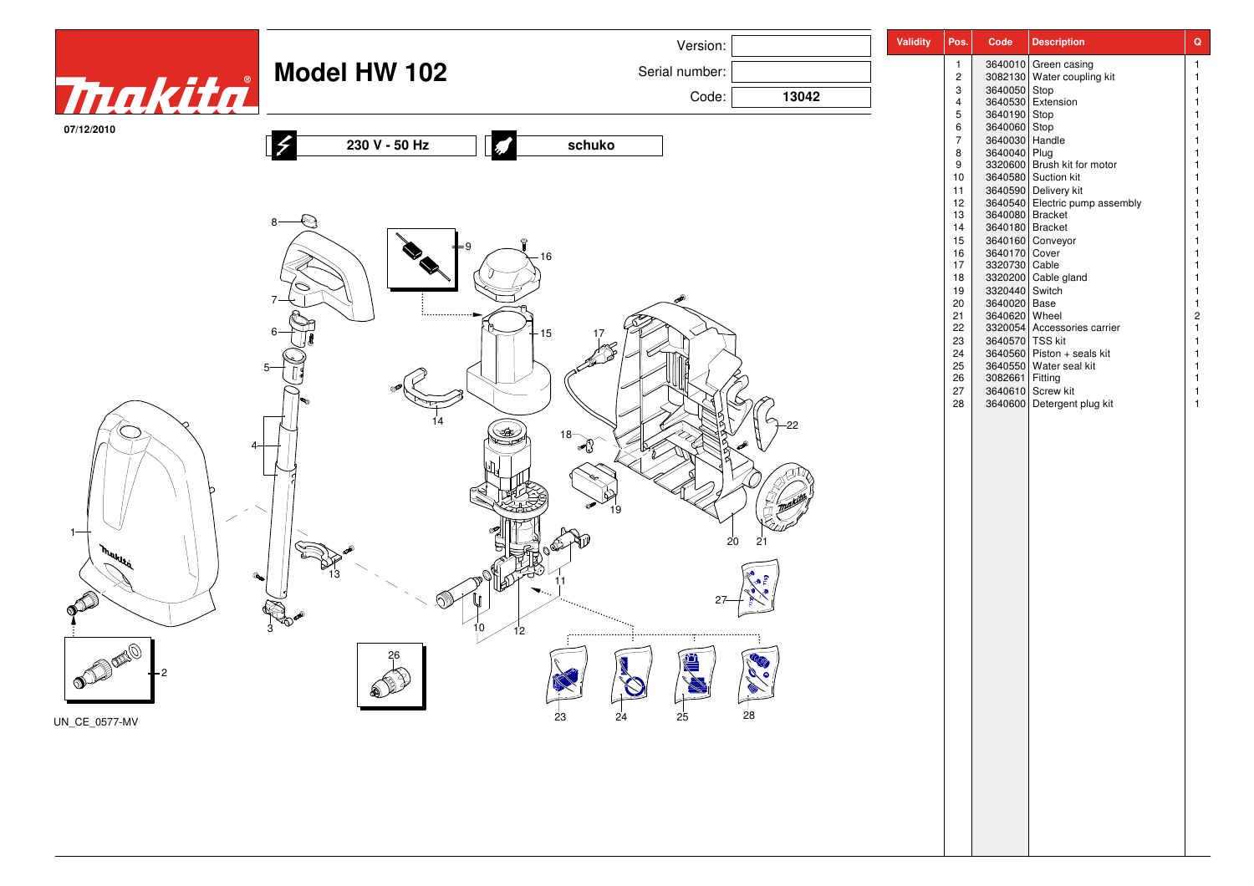